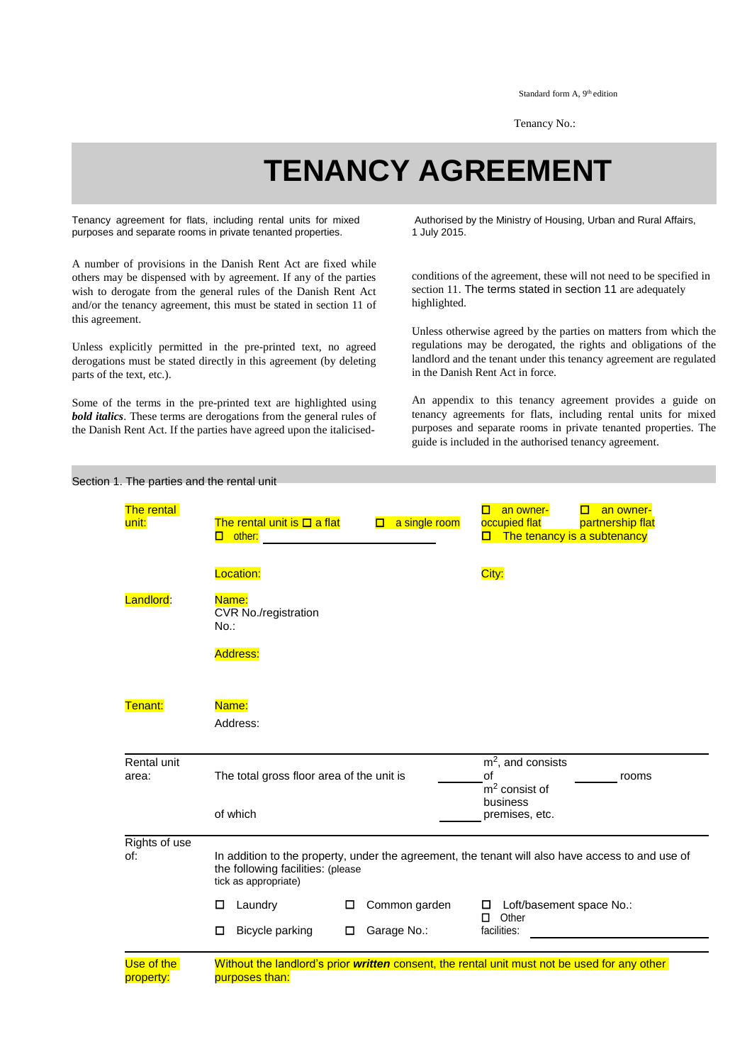Standard form A, 9<sup>th</sup> edition

Tenancy No.:

## **TENANCY AGREEMENT**

Tenancy agreement for flats, including rental units for mixed purposes and separate rooms in private tenanted properties.

A number of provisions in the Danish Rent Act are fixed while others may be dispensed with by agreement. If any of the parties wish to derogate from the general rules of the Danish Rent Act and/or the tenancy agreement, this must be stated in section 11 of this agreement.

Unless explicitly permitted in the pre-printed text, no agreed derogations must be stated directly in this agreement (by deleting parts of the text, etc.).

Some of the terms in the pre-printed text are highlighted using *bold italics*. These terms are derogations from the general rules of the Danish Rent Act. If the parties have agreed upon the italicised-

Authorised by the Ministry of Housing, Urban and Rural Affairs, 1 July 2015.

conditions of the agreement, these will not need to be specified in section 11. The terms stated in section 11 are adequately highlighted.

Unless otherwise agreed by the parties on matters from which the regulations may be derogated, the rights and obligations of the landlord and the tenant under this tenancy agreement are regulated in the Danish Rent Act in force.

An appendix to this tenancy agreement provides a guide on tenancy agreements for flats, including rental units for mixed purposes and separate rooms in private tenanted properties. The guide is included in the authorised tenancy agreement.

| The rental<br>unit:  | The rental unit is $\Box$ a flat<br>$\Box$ other: $\Box$ other:                                                                                               | $\Box$ a single room | an owner-<br>an owner-<br>О.<br>о<br>occupied flat<br>partnership flat<br>$\Box$ The tenancy is a subtenancy |  |
|----------------------|---------------------------------------------------------------------------------------------------------------------------------------------------------------|----------------------|--------------------------------------------------------------------------------------------------------------|--|
|                      | Location:                                                                                                                                                     |                      | City:                                                                                                        |  |
| Landlord:            | Name:<br><b>CVR No./registration</b><br>$No.$ :                                                                                                               |                      |                                                                                                              |  |
|                      | <b>Address:</b>                                                                                                                                               |                      |                                                                                                              |  |
| Tenant:              | Name:                                                                                                                                                         |                      |                                                                                                              |  |
|                      | Address:                                                                                                                                                      |                      |                                                                                                              |  |
| Rental unit<br>area: | The total gross floor area of the unit is                                                                                                                     |                      | $m2$ , and consists<br>of<br>rooms<br>$m2$ consist of                                                        |  |
|                      | of which                                                                                                                                                      |                      | business<br>premises, etc.                                                                                   |  |
| Rights of use<br>of: | In addition to the property, under the agreement, the tenant will also have access to and use of<br>the following facilities: (please<br>tick as appropriate) |                      |                                                                                                              |  |
|                      | Laundry<br>□<br>0                                                                                                                                             | Common garden        | Loft/basement space No.:<br>0                                                                                |  |
|                      | Bicycle parking<br>$\Box$<br>□                                                                                                                                | Garage No.:          | Other<br>0<br>facilities:                                                                                    |  |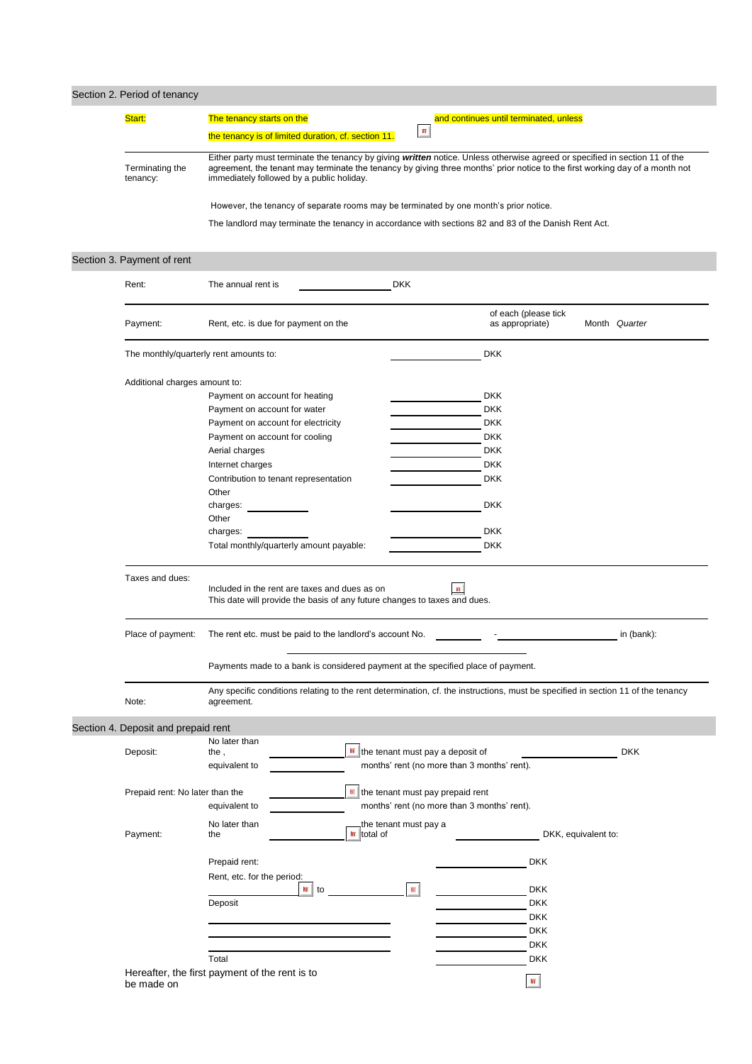| Section 2. Period of tenancy        |                                                                                                                                                                           |                                             |                                         |                     |
|-------------------------------------|---------------------------------------------------------------------------------------------------------------------------------------------------------------------------|---------------------------------------------|-----------------------------------------|---------------------|
| Start:                              | The tenancy starts on the                                                                                                                                                 |                                             | and continues until terminated, unless  |                     |
|                                     | the tenancy is of limited duration, cf. section 11.                                                                                                                       |                                             |                                         |                     |
|                                     | Either party must terminate the tenancy by giving written notice. Unless otherwise agreed or specified in section 11 of the                                               |                                             |                                         |                     |
| Terminating the<br>tenancy:         | agreement, the tenant may terminate the tenancy by giving three months' prior notice to the first working day of a month not<br>immediately followed by a public holiday. |                                             |                                         |                     |
|                                     | However, the tenancy of separate rooms may be terminated by one month's prior notice.                                                                                     |                                             |                                         |                     |
|                                     | The landlord may terminate the tenancy in accordance with sections 82 and 83 of the Danish Rent Act.                                                                      |                                             |                                         |                     |
|                                     |                                                                                                                                                                           |                                             |                                         |                     |
| Section 3. Payment of rent          |                                                                                                                                                                           |                                             |                                         |                     |
| Rent:                               | The annual rent is                                                                                                                                                        | <b>DKK</b>                                  |                                         |                     |
| Payment:                            | Rent, etc. is due for payment on the                                                                                                                                      |                                             | of each (please tick<br>as appropriate) | Month Quarter       |
|                                     | The monthly/quarterly rent amounts to:                                                                                                                                    |                                             | <b>DKK</b>                              |                     |
| Additional charges amount to:       |                                                                                                                                                                           |                                             |                                         |                     |
|                                     | Payment on account for heating                                                                                                                                            |                                             | <b>DKK</b>                              |                     |
|                                     | Payment on account for water                                                                                                                                              |                                             | <b>DKK</b>                              |                     |
|                                     | Payment on account for electricity                                                                                                                                        |                                             | <b>DKK</b>                              |                     |
|                                     | Payment on account for cooling                                                                                                                                            |                                             | <b>DKK</b>                              |                     |
|                                     | Aerial charges                                                                                                                                                            |                                             | <b>DKK</b>                              |                     |
|                                     | Internet charges                                                                                                                                                          |                                             | <b>DKK</b>                              |                     |
|                                     | Contribution to tenant representation<br>Other                                                                                                                            |                                             | <b>DKK</b>                              |                     |
|                                     | charges:                                                                                                                                                                  |                                             | <b>DKK</b>                              |                     |
|                                     | Other                                                                                                                                                                     |                                             |                                         |                     |
|                                     | charges:                                                                                                                                                                  |                                             | <b>DKK</b>                              |                     |
|                                     | Total monthly/quarterly amount payable:                                                                                                                                   |                                             | <b>DKK</b>                              |                     |
| Taxes and dues:                     |                                                                                                                                                                           |                                             |                                         |                     |
|                                     | Included in the rent are taxes and dues as on<br>This date will provide the basis of any future changes to taxes and dues.                                                | 丽                                           |                                         |                     |
| Place of payment:                   | The rent etc. must be paid to the landlord's account No.                                                                                                                  |                                             |                                         | in (bank):          |
|                                     | Payments made to a bank is considered payment at the specified place of payment.                                                                                          |                                             |                                         |                     |
| Note:                               | Any specific conditions relating to the rent determination, cf. the instructions, must be specified in section 11 of the tenancy<br>agreement.                            |                                             |                                         |                     |
| Section 4. Deposit and prepaid rent |                                                                                                                                                                           |                                             |                                         |                     |
|                                     | No later than                                                                                                                                                             | the tenant must pay a deposit of            |                                         | <b>DKK</b>          |
| Deposit:                            | the,                                                                                                                                                                      | months' rent (no more than 3 months' rent). |                                         |                     |
|                                     | equivalent to                                                                                                                                                             |                                             |                                         |                     |
| Prepaid rent: No later than the     |                                                                                                                                                                           | the tenant must pay prepaid rent            |                                         |                     |
|                                     | equivalent to                                                                                                                                                             | months' rent (no more than 3 months' rent). |                                         |                     |
|                                     | No later than                                                                                                                                                             | the tenant must pay a                       |                                         |                     |
| Payment:                            | $\frac{1}{2}$ total of<br>the                                                                                                                                             |                                             |                                         | DKK, equivalent to: |
|                                     |                                                                                                                                                                           |                                             |                                         |                     |
|                                     | Prepaid rent:                                                                                                                                                             |                                             | <b>DKK</b>                              |                     |
|                                     | Rent, etc. for the period:<br>疝<br>to                                                                                                                                     | 丽                                           | <b>DKK</b>                              |                     |
|                                     | Deposit                                                                                                                                                                   |                                             | <b>DKK</b>                              |                     |
|                                     |                                                                                                                                                                           |                                             | <b>DKK</b>                              |                     |
|                                     |                                                                                                                                                                           |                                             | <b>DKK</b>                              |                     |
|                                     |                                                                                                                                                                           |                                             | <b>DKK</b>                              |                     |
|                                     | Total                                                                                                                                                                     |                                             | <b>DKK</b>                              |                     |
|                                     | Hereafter, the first payment of the rent is to                                                                                                                            |                                             |                                         |                     |
| be made on                          |                                                                                                                                                                           |                                             | $\text{m}$                              |                     |
|                                     |                                                                                                                                                                           |                                             |                                         |                     |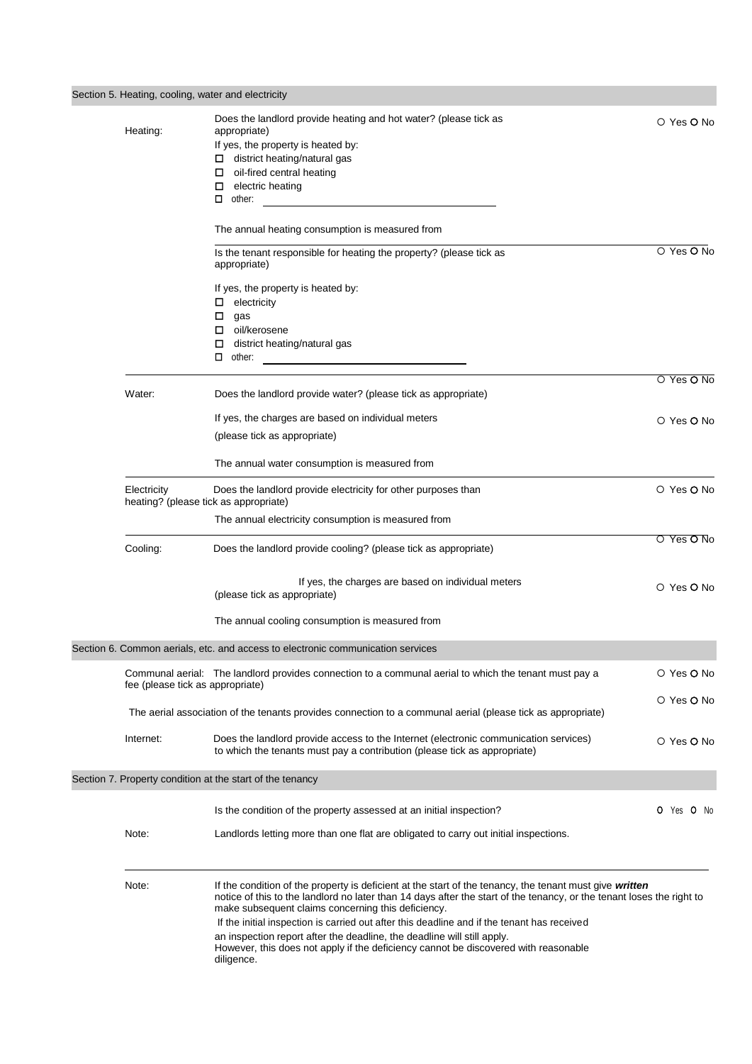| Section 5. Heating, cooling, water and electricity   |                                                                                                                                                                                                                                                                                                                                                                                                                                                                                                                                                                       |                   |
|------------------------------------------------------|-----------------------------------------------------------------------------------------------------------------------------------------------------------------------------------------------------------------------------------------------------------------------------------------------------------------------------------------------------------------------------------------------------------------------------------------------------------------------------------------------------------------------------------------------------------------------|-------------------|
| Heating:                                             | Does the landlord provide heating and hot water? (please tick as<br>appropriate)<br>If yes, the property is heated by:<br>$\Box$ district heating/natural gas<br>oil-fired central heating<br>□<br>electric heating<br>0<br>other:                                                                                                                                                                                                                                                                                                                                    | O Yes O No        |
|                                                      | The annual heating consumption is measured from                                                                                                                                                                                                                                                                                                                                                                                                                                                                                                                       |                   |
|                                                      | Is the tenant responsible for heating the property? (please tick as<br>appropriate)                                                                                                                                                                                                                                                                                                                                                                                                                                                                                   | O Yes O No        |
|                                                      | If yes, the property is heated by:<br>electricity<br>0<br>0<br>gas<br>□ oil/kerosene<br>district heating/natural gas<br>0<br>$\Box$ other:                                                                                                                                                                                                                                                                                                                                                                                                                            |                   |
|                                                      |                                                                                                                                                                                                                                                                                                                                                                                                                                                                                                                                                                       | O Yes O No        |
| Water:                                               | Does the landlord provide water? (please tick as appropriate)                                                                                                                                                                                                                                                                                                                                                                                                                                                                                                         |                   |
|                                                      | If yes, the charges are based on individual meters<br>(please tick as appropriate)                                                                                                                                                                                                                                                                                                                                                                                                                                                                                    | O Yes O No        |
|                                                      | The annual water consumption is measured from                                                                                                                                                                                                                                                                                                                                                                                                                                                                                                                         |                   |
| Electricity<br>heating? (please tick as appropriate) | Does the landlord provide electricity for other purposes than                                                                                                                                                                                                                                                                                                                                                                                                                                                                                                         | O Yes O No        |
|                                                      | The annual electricity consumption is measured from                                                                                                                                                                                                                                                                                                                                                                                                                                                                                                                   |                   |
| Cooling:                                             | Does the landlord provide cooling? (please tick as appropriate)                                                                                                                                                                                                                                                                                                                                                                                                                                                                                                       | O Yes O No        |
|                                                      | If yes, the charges are based on individual meters<br>(please tick as appropriate)                                                                                                                                                                                                                                                                                                                                                                                                                                                                                    | O Yes O No        |
|                                                      | The annual cooling consumption is measured from                                                                                                                                                                                                                                                                                                                                                                                                                                                                                                                       |                   |
|                                                      | Section 6. Common aerials, etc. and access to electronic communication services                                                                                                                                                                                                                                                                                                                                                                                                                                                                                       |                   |
| fee (please tick as appropriate)                     | Communal aerial: The landlord provides connection to a communal aerial to which the tenant must pay a                                                                                                                                                                                                                                                                                                                                                                                                                                                                 | O Yes O No        |
|                                                      | The aerial association of the tenants provides connection to a communal aerial (please tick as appropriate)                                                                                                                                                                                                                                                                                                                                                                                                                                                           | O Yes O No        |
| Internet:                                            | Does the landlord provide access to the Internet (electronic communication services)<br>to which the tenants must pay a contribution (please tick as appropriate)                                                                                                                                                                                                                                                                                                                                                                                                     | O Yes <b>O</b> No |
|                                                      | Section 7. Property condition at the start of the tenancy                                                                                                                                                                                                                                                                                                                                                                                                                                                                                                             |                   |
|                                                      | Is the condition of the property assessed at an initial inspection?                                                                                                                                                                                                                                                                                                                                                                                                                                                                                                   | O Yes O No        |
| Note:                                                | Landlords letting more than one flat are obligated to carry out initial inspections.                                                                                                                                                                                                                                                                                                                                                                                                                                                                                  |                   |
| Note:                                                | If the condition of the property is deficient at the start of the tenancy, the tenant must give written<br>notice of this to the landlord no later than 14 days after the start of the tenancy, or the tenant loses the right to<br>make subsequent claims concerning this deficiency.<br>If the initial inspection is carried out after this deadline and if the tenant has received<br>an inspection report after the deadline, the deadline will still apply.<br>However, this does not apply if the deficiency cannot be discovered with reasonable<br>diligence. |                   |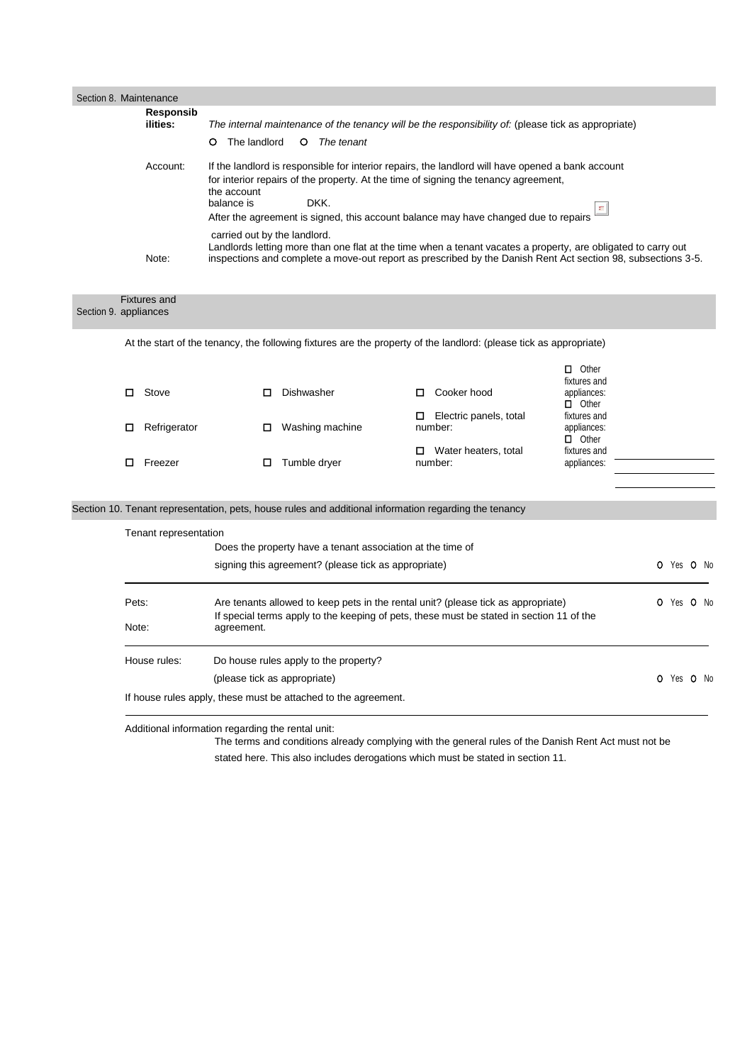| Section 8. Maintenance |                                                       |                                      |                                                                                                                                                                                                                                                                                         |                                                                                                                                                                                                                               |                                                             |            |  |  |
|------------------------|-------------------------------------------------------|--------------------------------------|-----------------------------------------------------------------------------------------------------------------------------------------------------------------------------------------------------------------------------------------------------------------------------------------|-------------------------------------------------------------------------------------------------------------------------------------------------------------------------------------------------------------------------------|-------------------------------------------------------------|------------|--|--|
|                        | <b>Responsib</b><br>ilities:                          |                                      |                                                                                                                                                                                                                                                                                         | The internal maintenance of the tenancy will be the responsibility of: (please tick as appropriate)                                                                                                                           |                                                             |            |  |  |
|                        |                                                       | The landlord<br>O<br>The tenant<br>O |                                                                                                                                                                                                                                                                                         |                                                                                                                                                                                                                               |                                                             |            |  |  |
|                        | Account:                                              | the account<br>balance is            | If the landlord is responsible for interior repairs, the landlord will have opened a bank account<br>for interior repairs of the property. At the time of signing the tenancy agreement,<br>DKK.<br>After the agreement is signed, this account balance may have changed due to repairs |                                                                                                                                                                                                                               |                                                             |            |  |  |
|                        | Note:                                                 | carried out by the landlord.         |                                                                                                                                                                                                                                                                                         | Landlords letting more than one flat at the time when a tenant vacates a property, are obligated to carry out<br>inspections and complete a move-out report as prescribed by the Danish Rent Act section 98, subsections 3-5. |                                                             |            |  |  |
| Section 9. appliances  | <b>Fixtures and</b>                                   |                                      |                                                                                                                                                                                                                                                                                         |                                                                                                                                                                                                                               |                                                             |            |  |  |
|                        |                                                       |                                      |                                                                                                                                                                                                                                                                                         | At the start of the tenancy, the following fixtures are the property of the landlord: (please tick as appropriate)                                                                                                            |                                                             |            |  |  |
|                        | $\Box$ Stove                                          | □                                    | Dishwasher                                                                                                                                                                                                                                                                              | Cooker hood<br>0                                                                                                                                                                                                              | $\Box$ Other<br>fixtures and<br>appliances:<br>$\Box$ Other |            |  |  |
|                        | Refrigerator<br>□                                     | □                                    | Washing machine                                                                                                                                                                                                                                                                         | $\Box$ Electric panels, total<br>number:                                                                                                                                                                                      | fixtures and<br>appliances:<br>$\Box$ Other                 |            |  |  |
|                        | $\Box$ Freezer                                        | ◻                                    | Tumble dryer                                                                                                                                                                                                                                                                            | $\Box$ Water heaters, total<br>number:                                                                                                                                                                                        | fixtures and<br>appliances:                                 |            |  |  |
|                        |                                                       |                                      |                                                                                                                                                                                                                                                                                         | Section 10. Tenant representation, pets, house rules and additional information regarding the tenancy                                                                                                                         |                                                             |            |  |  |
|                        | Tenant representation                                 |                                      | Does the property have a tenant association at the time of                                                                                                                                                                                                                              |                                                                                                                                                                                                                               |                                                             |            |  |  |
|                        |                                                       |                                      | signing this agreement? (please tick as appropriate)                                                                                                                                                                                                                                    |                                                                                                                                                                                                                               |                                                             | O Yes O No |  |  |
|                        | Pets:<br>Note:                                        | agreement.                           |                                                                                                                                                                                                                                                                                         | Are tenants allowed to keep pets in the rental unit? (please tick as appropriate)<br>If special terms apply to the keeping of pets, these must be stated in section 11 of the                                                 |                                                             | O Yes O No |  |  |
|                        | House rules:<br>Do house rules apply to the property? |                                      |                                                                                                                                                                                                                                                                                         |                                                                                                                                                                                                                               |                                                             |            |  |  |
|                        |                                                       | (please tick as appropriate)         |                                                                                                                                                                                                                                                                                         |                                                                                                                                                                                                                               |                                                             | O Yes O No |  |  |
|                        |                                                       |                                      | If house rules apply, these must be attached to the agreement.                                                                                                                                                                                                                          |                                                                                                                                                                                                                               |                                                             |            |  |  |
|                        | Additional information regarding the rental unit:     |                                      |                                                                                                                                                                                                                                                                                         |                                                                                                                                                                                                                               |                                                             |            |  |  |

The terms and conditions already complying with the general rules of the Danish Rent Act must not be

stated here. This also includes derogations which must be stated in section 11.